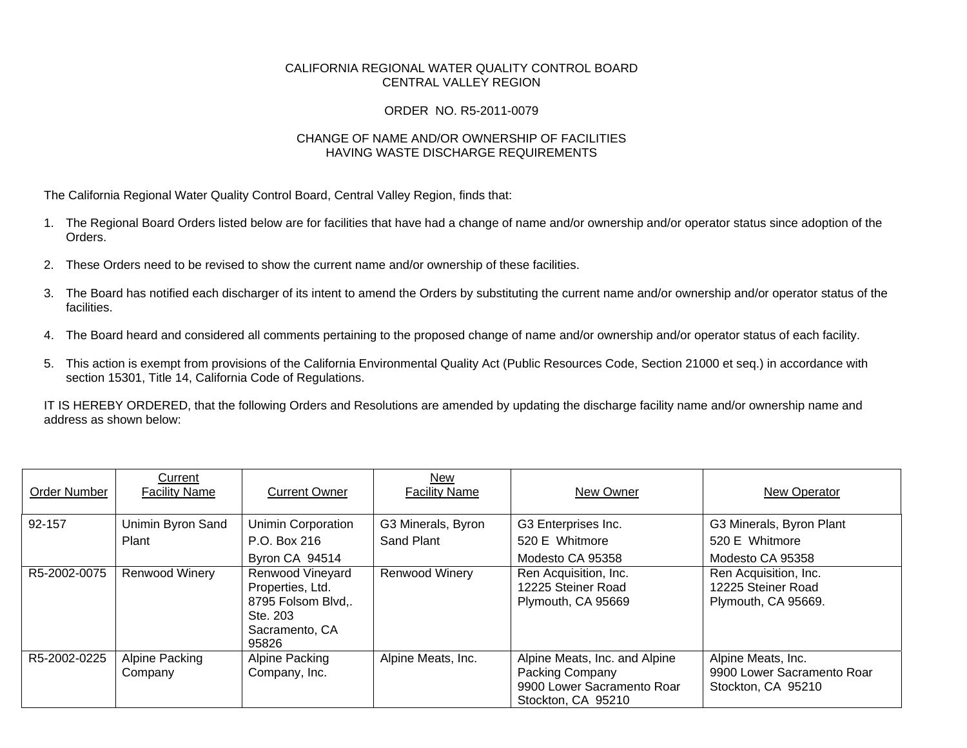## CALIFORNIA REGIONAL WATER QUALITY CONTROL BOARD CENTRAL VALLEY REGION

## ORDER NO. R5-2011-0079

## CHANGE OF NAME AND/OR OWNERSHIP OF FACILITIES HAVING WASTE DISCHARGE REQUIREMENTS

The California Regional Water Quality Control Board, Central Valley Region, finds that:

- 1. The Regional Board Orders listed below are for facilities that have had a change of name and/or ownership and/or operator status since adoption of the Orders.
- 2. These Orders need to be revised to show the current name and/or ownership of these facilities.
- 3. The Board has notified each discharger of its intent to amend the Orders by substituting the current name and/or ownership and/or operator status of the facilities.
- 4. The Board heard and considered all comments pertaining to the proposed change of name and/or ownership and/or operator status of each facility.
- 5. This action is exempt from provisions of the California Environmental Quality Act (Public Resources Code, Section 21000 et seq.) in accordance with section 15301, Title 14, California Code of Regulations.

IT IS HEREBY ORDERED, that the following Orders and Resolutions are amended by updating the discharge facility name and/or ownership name and address as shown below:

| Order Number | Current<br><b>Facility Name</b> | <b>Current Owner</b>                                                                              | <b>New</b><br><b>Facility Name</b> | New Owner                                                                                            | New Operator                                                           |
|--------------|---------------------------------|---------------------------------------------------------------------------------------------------|------------------------------------|------------------------------------------------------------------------------------------------------|------------------------------------------------------------------------|
| 92-157       | Unimin Byron Sand               | Unimin Corporation                                                                                | G3 Minerals, Byron                 | G3 Enterprises Inc.                                                                                  | G3 Minerals, Byron Plant                                               |
|              | Plant                           | P.O. Box 216                                                                                      | Sand Plant                         | 520 E Whitmore                                                                                       | 520 E Whitmore                                                         |
|              |                                 | Byron CA 94514                                                                                    |                                    | Modesto CA 95358                                                                                     | Modesto CA 95358                                                       |
| R5-2002-0075 | <b>Renwood Winery</b>           | Renwood Vineyard<br>Properties, Ltd.<br>8795 Folsom Blvd,.<br>Ste. 203<br>Sacramento, CA<br>95826 | <b>Renwood Winery</b>              | Ren Acquisition, Inc.<br>12225 Steiner Road<br>Plymouth, CA 95669                                    | Ren Acquisition, Inc.<br>12225 Steiner Road<br>Plymouth, CA 95669.     |
| R5-2002-0225 | Alpine Packing<br>Company       | Alpine Packing<br>Company, Inc.                                                                   | Alpine Meats, Inc.                 | Alpine Meats, Inc. and Alpine<br>Packing Company<br>9900 Lower Sacramento Roar<br>Stockton, CA 95210 | Alpine Meats, Inc.<br>9900 Lower Sacramento Roar<br>Stockton, CA 95210 |